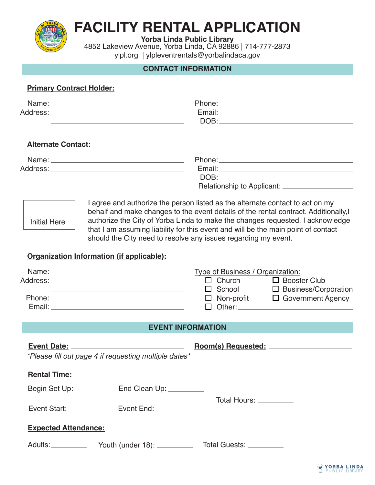

# **FACILITY RENTAL APPLICATION**

**Yorba Linda Public Library**

4852 Lakeview Avenue, Yorba Linda, CA 92886 | 714-777-2873 ylpl.org | ylpleventrentals@yorbalindaca.gov

# **CONTACT INFORMATION**

## **Primary Contract Holder:**

| Name:    | Phone: |
|----------|--------|
| Address: | Email: |
|          | DOB    |

# **Alternate Contact:**

| Name:    | Phone:                       |
|----------|------------------------------|
| Address: | Email:                       |
|          | DOB:                         |
|          | Relationship to Applicant: _ |

| Initial Here |  |
|--------------|--|
|              |  |

I agree and authorize the person listed as the alternate contact to act on my behalf and make changes to the event details of the rental contract. Additionally,I authorize the City of Yorba Linda to make the changes requested. I acknowledge that I am assuming liability for this event and will be the main point of contact should the City need to resolve any issues regarding my event.

# **Organization Information (if applicable):**

| Name: _  | Type of Business / Organization: |                          |
|----------|----------------------------------|--------------------------|
| Address: | $\Box$ Church                    | $\Box$ Booster Club      |
|          | $\Box$ School                    | □ Business/Corporation   |
| Phone:   | $\Box$ Non-profit                | $\Box$ Government Agency |
| Email:   | $\Box$ Other:                    |                          |

## **EVENT INFORMATION**

|                             | *Please fill out page 4 if requesting multiple dates* |                          |
|-----------------------------|-------------------------------------------------------|--------------------------|
| <b>Rental Time:</b>         |                                                       |                          |
|                             |                                                       |                          |
| Event Start: __________     | Event End:                                            | Total Hours: _________   |
| <b>Expected Attendance:</b> |                                                       |                          |
| Adults:__________           | Youth (under 18): _________                           | Total Guests: __________ |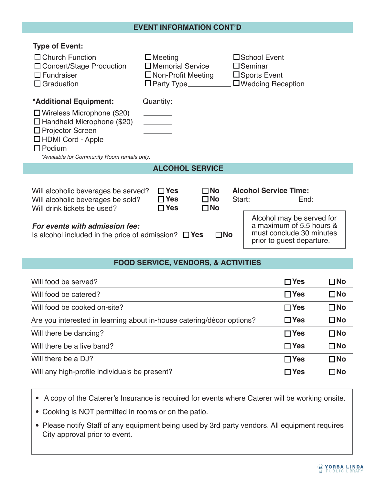#### **EVENT INFORMATION CONT'D**

| <b>Type of Event:</b><br>$\Box$ Church Function<br>□ Concert/Stage Production<br>$\Box$ Fundraiser<br>$\Box$ Graduation                                                                                                                                          | $\Box$ Meeting<br>$\square$ Memorial Service<br>$\Box$ Non-Profit Meeting<br>$\Box$ Party Type $\_\_\_\_\_\_\_\_\_\_\_\_\_\_\_$ | □School Event<br>$\square$ Seminar<br>□ Sports Event<br>$\Box$ Wedding Reception |  |  |
|------------------------------------------------------------------------------------------------------------------------------------------------------------------------------------------------------------------------------------------------------------------|---------------------------------------------------------------------------------------------------------------------------------|----------------------------------------------------------------------------------|--|--|
| *Additional Equipment:                                                                                                                                                                                                                                           | Quantity:                                                                                                                       |                                                                                  |  |  |
| $\Box$ Wireless Microphone (\$20)<br>$\Box$ Handheld Microphone (\$20)<br>$\Box$ Projector Screen<br>$\Box$ HDMI Cord - Apple<br>$\Box$ Podium<br>*Available for Community Room rentals only.                                                                    |                                                                                                                                 |                                                                                  |  |  |
|                                                                                                                                                                                                                                                                  | <b>ALCOHOL SERVICE</b>                                                                                                          |                                                                                  |  |  |
| <b>Alcohol Service Time:</b><br>$\sqcap$ Yes<br>$\Box$ No<br>Will alcoholic beverages be served?<br>$\square$ No<br>$\Box$ Yes<br>End:<br>Will alcoholic beverages be sold?<br>Start: _____________<br>$\Box$ Yes<br>$\square$ No<br>Will drink tickets be used? |                                                                                                                                 |                                                                                  |  |  |
| Alcohol may be served for<br>a maximum of 5.5 hours &<br>For events with admission fee:<br>must conclude 30 minutes<br>$\square$ No<br>Is alcohol included in the price of admission? $\square$ Yes<br>prior to guest departure.                                 |                                                                                                                                 |                                                                                  |  |  |
| <b>FOOD SERVICE, VENDORS, &amp; ACTIVITIES</b>                                                                                                                                                                                                                   |                                                                                                                                 |                                                                                  |  |  |

| Will food be served?                                                  | $\Box$ Yes | $\square$ No |
|-----------------------------------------------------------------------|------------|--------------|
| Will food be catered?                                                 | $\Box$ Yes | $\square$ No |
| Will food be cooked on-site?                                          | $\Box$ Yes | $\square$ No |
| Are you interested in learning about in-house catering/décor options? | $\Box$ Yes | $\square$ No |
| Will there be dancing?                                                | $\Box$ Yes | $\square$ No |
| Will there be a live band?                                            | $\Box$ Yes | $\square$ No |
| Will there be a DJ?                                                   | $\Box$ Yes | $\square$ No |
| Will any high-profile individuals be present?                         | $\Box$ Yes | $\square$ No |
|                                                                       |            |              |

A copy of the Caterer's Insurance is required for events where Caterer will be working onsite.

Cooking is NOT permitted in rooms or on the patio.

Please notify Staff of any equipment being used by 3rd party vendors. All equipment requires City approval prior to event.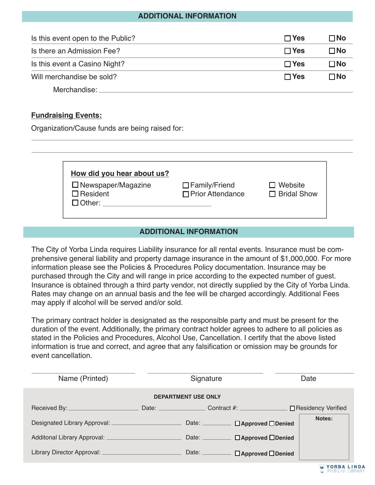### **ADDITIONAL INFORMATION**

| Is this event open to the Public?   | $\Box$ Yes | $\Box$ No    |
|-------------------------------------|------------|--------------|
| Is there an Admission Fee?          | $\Box$ Yes | $\Box$ No    |
| Is this event a Casino Night?       | $\Box$ Yes | $\square$ No |
| Will merchandise be sold?           | $\Box$ Yes | $\square$ No |
| 10 A a concello a concelli a care e |            |              |

Merchandise:

#### **Fundraising Events:**

Organization/Cause funds are being raised for:

| How did you hear about us?   |                      |                    |
|------------------------------|----------------------|--------------------|
| $\square$ Newspaper/Magazine | $\Box$ Family/Friend | $\Box$ Website     |
| $\Box$ Resident              | □ Prior Attendance   | $\Box$ Bridal Show |

#### **ADDITIONAL INFORMATION**

The City of Yorba Linda requires Liability insurance for all rental events. Insurance must be comprehensive general liability and property damage insurance in the amount of \$1,000,000. For more information please see the Policies & Procedures Policy documentation. Insurance may be purchased through the City and will range in price according to the expected number of guest. Insurance is obtained through a third party vendor, not directly supplied by the City of Yorba Linda. Rates may change on an annual basis and the fee will be charged accordingly. Additional Fees may apply if alcohol will be served and/or sold.

The primary contract holder is designated as the responsible party and must be present for the duration of the event. Additionally, the primary contract holder agrees to adhere to all policies as stated in the Policies and Procedures, Alcohol Use, Cancellation. I certify that the above listed information is true and correct, and agree that any falsification or omission may be grounds for event cancellation.

| Name (Printed)                           | Signature          |                                                                                                                | Date                 |  |
|------------------------------------------|--------------------|----------------------------------------------------------------------------------------------------------------|----------------------|--|
| <b>DEPARTMENT USE ONLY</b>               |                    |                                                                                                                |                      |  |
| Received By: ________________            | Date: <b>Date:</b> | Contract #: All and All and All and All and All and All and All and All and All and All and All and All and Al | □ Residency Verified |  |
|                                          |                    | Date: <u>__________</u><br>$\Box$ Approved $\Box$ Denied                                                       | Notes:               |  |
| Additonal Library Approval: ____________ | Date: $\_\_$       | $\Box$ Approved $\Box$ Denied                                                                                  |                      |  |
| Library Director Approval: _             | Date:              | $\Box$ Approved $\Box$ Denied                                                                                  |                      |  |